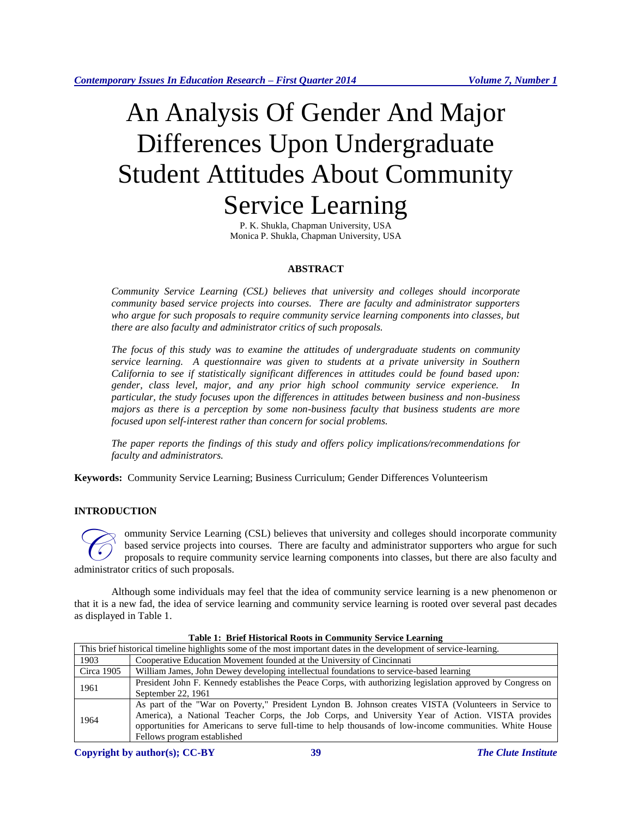# An Analysis Of Gender And Major Differences Upon Undergraduate Student Attitudes About Community Service Learning

P. K. Shukla, Chapman University, USA Monica P. Shukla, Chapman University, USA

# **ABSTRACT**

*Community Service Learning (CSL) believes that university and colleges should incorporate community based service projects into courses. There are faculty and administrator supporters who argue for such proposals to require community service learning components into classes, but there are also faculty and administrator critics of such proposals.*

*The focus of this study was to examine the attitudes of undergraduate students on community service learning. A questionnaire was given to students at a private university in Southern California to see if statistically significant differences in attitudes could be found based upon: gender, class level, major, and any prior high school community service experience. In particular, the study focuses upon the differences in attitudes between business and non-business majors as there is a perception by some non-business faculty that business students are more focused upon self-interest rather than concern for social problems.*

*The paper reports the findings of this study and offers policy implications/recommendations for faculty and administrators.*

**Keywords:** Community Service Learning; Business Curriculum; Gender Differences Volunteerism

# **INTRODUCTION**

ommunity Service Learning (CSL) believes that university and colleges should incorporate community based service projects into courses. There are faculty and administrator supporters who argue for such proposals to require community service learning components into classes, but there are also faculty and **administrator critics of such proposals** to require comm<br>administrator critics of such proposals.

Although some individuals may feel that the idea of community service learning is a new phenomenon or that it is a new fad, the idea of service learning and community service learning is rooted over several past decades as displayed in Table 1.

| This brief historical timeline highlights some of the most important dates in the development of service-learning. |                                                                                                             |  |
|--------------------------------------------------------------------------------------------------------------------|-------------------------------------------------------------------------------------------------------------|--|
| 1903                                                                                                               | Cooperative Education Movement founded at the University of Cincinnati                                      |  |
| Circa 1905                                                                                                         | William James, John Dewey developing intellectual foundations to service-based learning                     |  |
| 1961                                                                                                               | President John F. Kennedy establishes the Peace Corps, with authorizing legislation approved by Congress on |  |
|                                                                                                                    | September 22, 1961                                                                                          |  |
| 1964                                                                                                               | As part of the "War on Poverty," President Lyndon B. Johnson creates VISTA (Volunteers in Service to        |  |
|                                                                                                                    | America), a National Teacher Corps, the Job Corps, and University Year of Action. VISTA provides            |  |
|                                                                                                                    | opportunities for Americans to serve full-time to help thousands of low-income communities. White House     |  |
|                                                                                                                    | Fellows program established                                                                                 |  |

## **Table 1: Brief Historical Roots in Community Service Learning**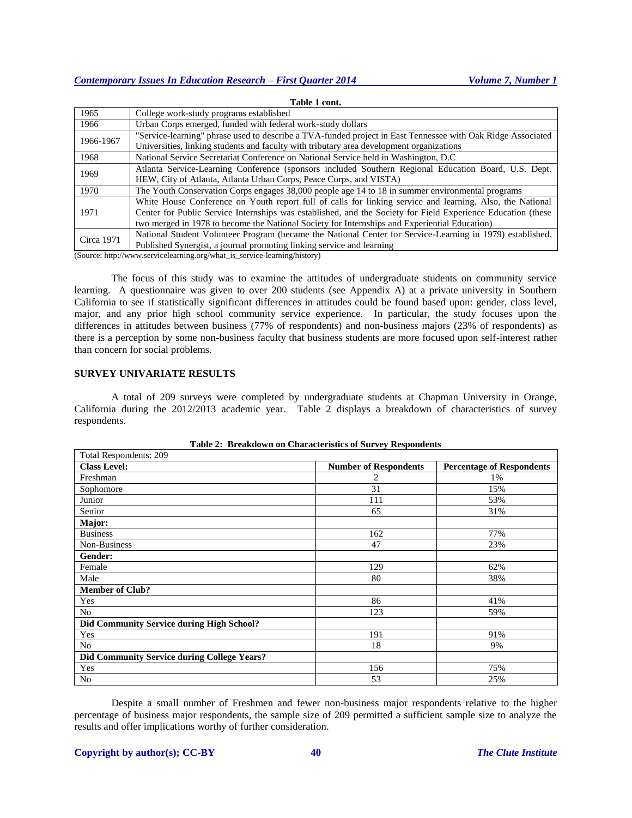|            | таріс т сош.                                                                                                 |
|------------|--------------------------------------------------------------------------------------------------------------|
| 1965       | College work-study programs established                                                                      |
| 1966       | Urban Corps emerged, funded with federal work-study dollars                                                  |
| 1966-1967  | "Service-learning" phrase used to describe a TVA-funded project in East Tennessee with Oak Ridge Associated  |
|            | Universities, linking students and faculty with tributary area development organizations                     |
| 1968       | National Service Secretariat Conference on National Service held in Washington, D.C.                         |
| 1969       | Atlanta Service-Learning Conference (sponsors included Southern Regional Education Board, U.S. Dept.         |
|            | HEW, City of Atlanta, Atlanta Urban Corps, Peace Corps, and VISTA)                                           |
| 1970       | The Youth Conservation Corps engages 38,000 people age 14 to 18 in summer environmental programs             |
| 1971       | White House Conference on Youth report full of calls for linking service and learning. Also, the National    |
|            | Center for Public Service Internships was established, and the Society for Field Experience Education (these |
|            | two merged in 1978 to become the National Society for Internships and Experiential Education)                |
| Circa 1971 | National Student Volunteer Program (became the National Center for Service-Learning in 1979) established.    |
|            | Published Synergist, a journal promoting linking service and learning                                        |

**Table 1 cont.**

(Source: http://www.servicelearning.org/what\_is\_service-learning/history)

The focus of this study was to examine the attitudes of undergraduate students on community service learning. A questionnaire was given to over 200 students (see Appendix A) at a private university in Southern California to see if statistically significant differences in attitudes could be found based upon: gender, class level, major, and any prior high school community service experience. In particular, the study focuses upon the differences in attitudes between business (77% of respondents) and non-business majors (23% of respondents) as there is a perception by some non-business faculty that business students are more focused upon self-interest rather than concern for social problems.

## **SURVEY UNIVARIATE RESULTS**

A total of 209 surveys were completed by undergraduate students at Chapman University in Orange, California during the 2012/2013 academic year. Table 2 displays a breakdown of characteristics of survey respondents.

| Total Respondents: 209                             |                              |                                  |
|----------------------------------------------------|------------------------------|----------------------------------|
| <b>Class Level:</b>                                | <b>Number of Respondents</b> | <b>Percentage of Respondents</b> |
| Freshman                                           | 2                            | 1%                               |
| Sophomore                                          | 31                           | 15%                              |
| Junior                                             | 111                          | 53%                              |
| Senior                                             | 65                           | 31%                              |
| Major:                                             |                              |                                  |
| <b>Business</b>                                    | 162                          | 77%                              |
| Non-Business                                       | 47                           | 23%                              |
| Gender:                                            |                              |                                  |
| Female                                             | 129                          | 62%                              |
| Male                                               | 80                           | 38%                              |
| <b>Member of Club?</b>                             |                              |                                  |
| Yes                                                | 86                           | 41%                              |
| No                                                 | 123                          | 59%                              |
| Did Community Service during High School?          |                              |                                  |
| Yes                                                | 191                          | 91%                              |
| N <sub>0</sub>                                     | 18                           | 9%                               |
| <b>Did Community Service during College Years?</b> |                              |                                  |
| Yes                                                | 156                          | 75%                              |
| N <sub>o</sub>                                     | 53                           | 25%                              |

**Table 2: Breakdown on Characteristics of Survey Respondents**

Despite a small number of Freshmen and fewer non-business major respondents relative to the higher percentage of business major respondents, the sample size of 209 permitted a sufficient sample size to analyze the results and offer implications worthy of further consideration.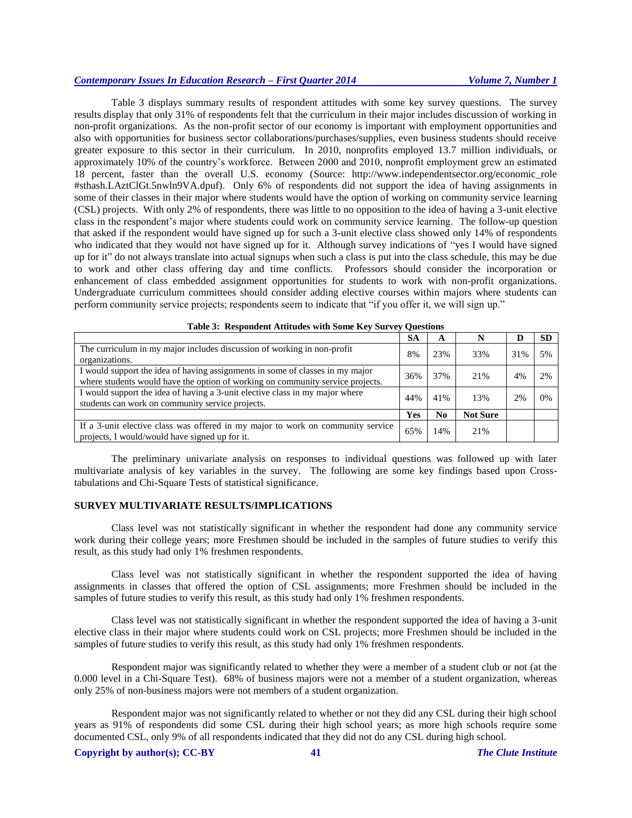## *Contemporary Issues In Education Research – First Quarter 2014 Volume 7, Number 1*

Table 3 displays summary results of respondent attitudes with some key survey questions. The survey results display that only 31% of respondents felt that the curriculum in their major includes discussion of working in non-profit organizations. As the non-profit sector of our economy is important with employment opportunities and also with opportunities for business sector collaborations/purchases/supplies, even business students should receive greater exposure to this sector in their curriculum. In 2010, nonprofits employed 13.7 million individuals, or approximately 10% of the country's workforce. Between 2000 and 2010, nonprofit employment grew an estimated 18 percent, faster than the overall U.S. economy (Source: [http://www.independentsector.org/economic\\_role](http://www.independentsector.org/economic_role#sthash.LAztClGt.5nwln9VA.dpuf)  [#sthash.LAztClGt.5nwln9VA.dpuf\)](http://www.independentsector.org/economic_role#sthash.LAztClGt.5nwln9VA.dpuf). Only 6% of respondents did not support the idea of having assignments in some of their classes in their major where students would have the option of working on community service learning (CSL) projects. With only 2% of respondents, there was little to no opposition to the idea of having a 3-unit elective class in the respondent's major where students could work on community service learning. The follow-up question that asked if the respondent would have signed up for such a 3-unit elective class showed only 14% of respondents who indicated that they would not have signed up for it. Although survey indications of "yes I would have signed up for it" do not always translate into actual signups when such a class is put into the class schedule, this may be due to work and other class offering day and time conflicts. Professors should consider the incorporation or enhancement of class embedded assignment opportunities for students to work with non-profit organizations. Undergraduate curriculum committees should consider adding elective courses within majors where students can perform community service projects; respondents seem to indicate that "if you offer it, we will sign up."

|                                                                                                                                                                 | <b>SA</b> | A              |                 |     | <b>SD</b> |
|-----------------------------------------------------------------------------------------------------------------------------------------------------------------|-----------|----------------|-----------------|-----|-----------|
| The curriculum in my major includes discussion of working in non-profit<br>organizations.                                                                       | 8%        | 23%            | 33%             | 31% | 5%        |
| I would support the idea of having assignments in some of classes in my major<br>where students would have the option of working on community service projects. | 36%       | 37%            | 21%             | 4%  | 2%        |
| I would support the idea of having a 3-unit elective class in my major where<br>students can work on community service projects.                                | 44%       | 41%            | 13%             | 2%  | 0%        |
|                                                                                                                                                                 | Yes       | N <sub>0</sub> | <b>Not Sure</b> |     |           |
| If a 3-unit elective class was offered in my major to work on community service<br>projects, I would/would have signed up for it.                               | 65%       | 14%            | 21%             |     |           |

|  | Table 3: Respondent Attitudes with Some Key Survey Questions |  |  |  |  |  |
|--|--------------------------------------------------------------|--|--|--|--|--|
|--|--------------------------------------------------------------|--|--|--|--|--|

The preliminary univariate analysis on responses to individual questions was followed up with later multivariate analysis of key variables in the survey. The following are some key findings based upon Crosstabulations and Chi-Square Tests of statistical significance.

## **SURVEY MULTIVARIATE RESULTS/IMPLICATIONS**

Class level was not statistically significant in whether the respondent had done any community service work during their college years; more Freshmen should be included in the samples of future studies to verify this result, as this study had only 1% freshmen respondents.

Class level was not statistically significant in whether the respondent supported the idea of having assignments in classes that offered the option of CSL assignments; more Freshmen should be included in the samples of future studies to verify this result, as this study had only 1% freshmen respondents.

Class level was not statistically significant in whether the respondent supported the idea of having a 3-unit elective class in their major where students could work on CSL projects; more Freshmen should be included in the samples of future studies to verify this result, as this study had only 1% freshmen respondents.

Respondent major was significantly related to whether they were a member of a student club or not (at the 0.000 level in a Chi-Square Test). 68% of business majors were not a member of a student organization, whereas only 25% of non-business majors were not members of a student organization.

Respondent major was not significantly related to whether or not they did any CSL during their high school years as 91% of respondents did some CSL during their high school years; as more high schools require some documented CSL, only 9% of all respondents indicated that they did not do any CSL during high school.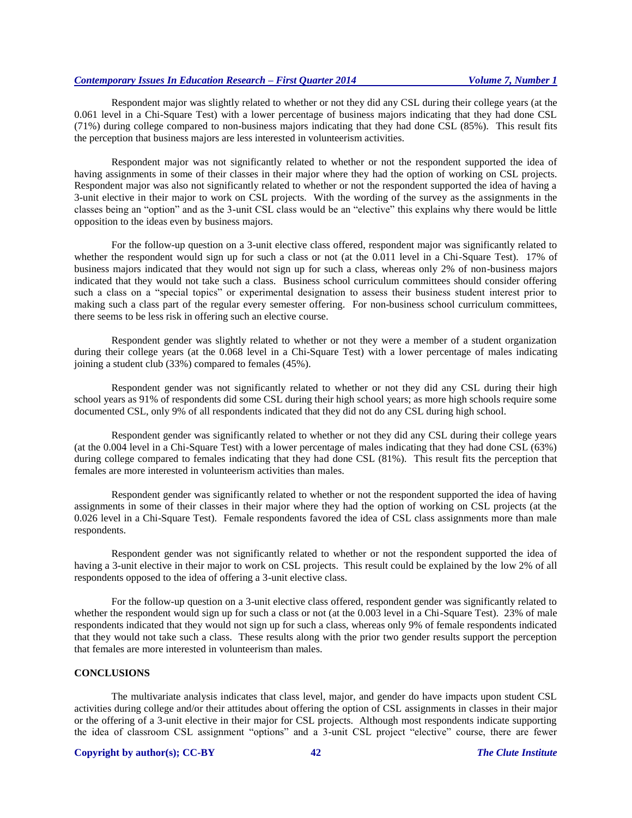## *Contemporary Issues In Education Research – First Quarter 2014 Volume 7, Number 1*

Respondent major was slightly related to whether or not they did any CSL during their college years (at the 0.061 level in a Chi-Square Test) with a lower percentage of business majors indicating that they had done CSL (71%) during college compared to non-business majors indicating that they had done CSL (85%). This result fits the perception that business majors are less interested in volunteerism activities.

Respondent major was not significantly related to whether or not the respondent supported the idea of having assignments in some of their classes in their major where they had the option of working on CSL projects. Respondent major was also not significantly related to whether or not the respondent supported the idea of having a 3-unit elective in their major to work on CSL projects. With the wording of the survey as the assignments in the classes being an "option" and as the 3-unit CSL class would be an "elective" this explains why there would be little opposition to the ideas even by business majors.

For the follow-up question on a 3-unit elective class offered, respondent major was significantly related to whether the respondent would sign up for such a class or not (at the 0.011 level in a Chi-Square Test). 17% of business majors indicated that they would not sign up for such a class, whereas only 2% of non-business majors indicated that they would not take such a class. Business school curriculum committees should consider offering such a class on a "special topics" or experimental designation to assess their business student interest prior to making such a class part of the regular every semester offering. For non-business school curriculum committees, there seems to be less risk in offering such an elective course.

Respondent gender was slightly related to whether or not they were a member of a student organization during their college years (at the 0.068 level in a Chi-Square Test) with a lower percentage of males indicating joining a student club (33%) compared to females (45%).

Respondent gender was not significantly related to whether or not they did any CSL during their high school years as 91% of respondents did some CSL during their high school years; as more high schools require some documented CSL, only 9% of all respondents indicated that they did not do any CSL during high school.

Respondent gender was significantly related to whether or not they did any CSL during their college years (at the 0.004 level in a Chi-Square Test) with a lower percentage of males indicating that they had done CSL (63%) during college compared to females indicating that they had done CSL (81%). This result fits the perception that females are more interested in volunteerism activities than males.

Respondent gender was significantly related to whether or not the respondent supported the idea of having assignments in some of their classes in their major where they had the option of working on CSL projects (at the 0.026 level in a Chi-Square Test). Female respondents favored the idea of CSL class assignments more than male respondents.

Respondent gender was not significantly related to whether or not the respondent supported the idea of having a 3-unit elective in their major to work on CSL projects. This result could be explained by the low 2% of all respondents opposed to the idea of offering a 3-unit elective class.

For the follow-up question on a 3-unit elective class offered, respondent gender was significantly related to whether the respondent would sign up for such a class or not (at the 0.003 level in a Chi-Square Test). 23% of male respondents indicated that they would not sign up for such a class, whereas only 9% of female respondents indicated that they would not take such a class. These results along with the prior two gender results support the perception that females are more interested in volunteerism than males.

#### **CONCLUSIONS**

The multivariate analysis indicates that class level, major, and gender do have impacts upon student CSL activities during college and/or their attitudes about offering the option of CSL assignments in classes in their major or the offering of a 3-unit elective in their major for CSL projects. Although most respondents indicate supporting the idea of classroom CSL assignment "options" and a 3-unit CSL project "elective" course, there are fewer

#### **Copyright by author(s)[; CC-BY](http://creativecommons.org/licenses/by/3.0/) 42** *[The Clute Institute](http://www.cluteinstitute.com/)*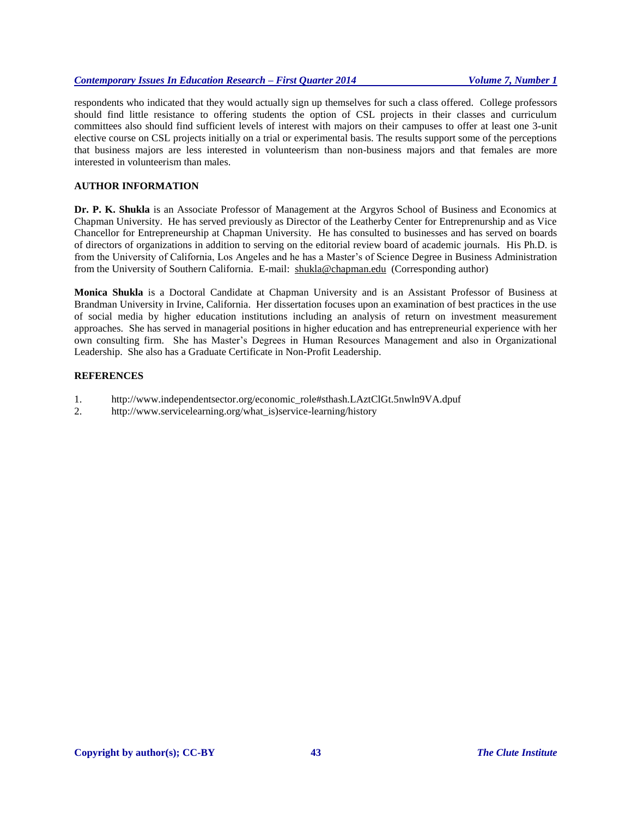## *Contemporary Issues In Education Research – First Quarter 2014 Volume 7, Number 1*

respondents who indicated that they would actually sign up themselves for such a class offered. College professors should find little resistance to offering students the option of CSL projects in their classes and curriculum committees also should find sufficient levels of interest with majors on their campuses to offer at least one 3-unit elective course on CSL projects initially on a trial or experimental basis. The results support some of the perceptions that business majors are less interested in volunteerism than non-business majors and that females are more interested in volunteerism than males.

## **AUTHOR INFORMATION**

**Dr. P. K. Shukla** is an Associate Professor of Management at the Argyros School of Business and Economics at Chapman University. He has served previously as Director of the Leatherby Center for Entreprenurship and as Vice Chancellor for Entrepreneurship at Chapman University. He has consulted to businesses and has served on boards of directors of organizations in addition to serving on the editorial review board of academic journals. His Ph.D. is from the University of California, Los Angeles and he has a Master's of Science Degree in Business Administration from the University of Southern California. E-mail: [shukla@chapman.edu](mailto:shukla@chapman.edu) (Corresponding author)

**Monica Shukla** is a Doctoral Candidate at Chapman University and is an Assistant Professor of Business at Brandman University in Irvine, California. Her dissertation focuses upon an examination of best practices in the use of social media by higher education institutions including an analysis of return on investment measurement approaches. She has served in managerial positions in higher education and has entrepreneurial experience with her own consulting firm. She has Master's Degrees in Human Resources Management and also in Organizational Leadership. She also has a Graduate Certificate in Non-Profit Leadership.

## **REFERENCES**

- 1. http://www.independentsector.org/economic\_role#sthash.LAztClGt.5nwln9VA.dpuf
- 2. http://www.servicelearning.org/what is)service-learning/history